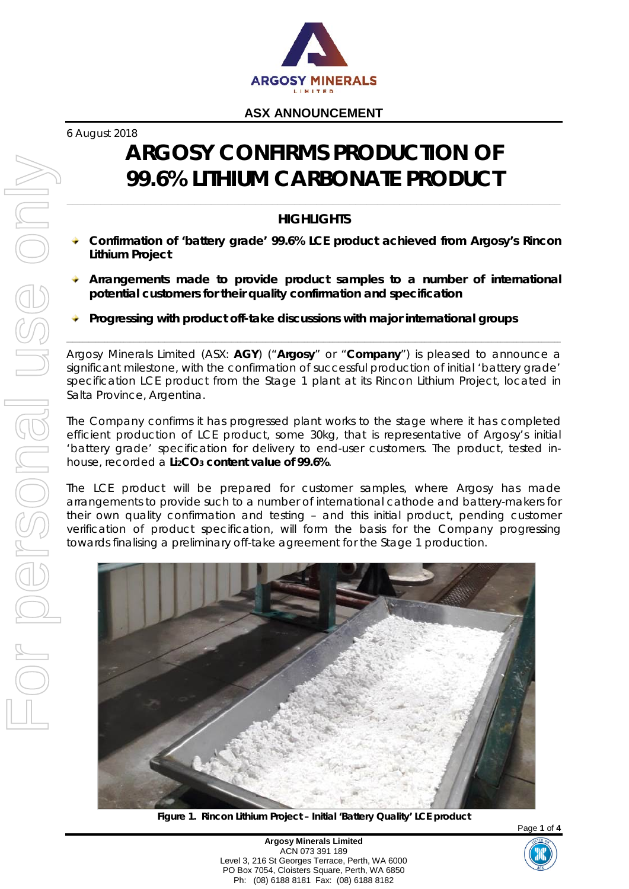

6 August 2018

# **ARGOSY CONFIRMS PRODUCTION OF 99.6% LITHIUM CARBONATE PRODUCT**

# *HIGHLIGHTS*

- **Confirmation of 'battery grade' 99.6% LCE product achieved from Argosy's Rincon Lithium Project**
- **Arrangements made to provide product samples to a number of international potential customers for their quality confirmation and specification**
- **Progressing with product off-take discussions with major international groups**

Argosy Minerals Limited (ASX: **AGY**) ("**Argosy**" or "**Company**") is pleased to announce a significant milestone, with the confirmation of successful production of initial 'battery grade' specification LCE product from the Stage 1 plant at its Rincon Lithium Project, located in Salta Province, Argentina.

The Company confirms it has progressed plant works to the stage where it has completed efficient production of LCE product, some 30kg, that is representative of Argosy's initial 'battery grade' specification for delivery to end-user customers. The product, tested inhouse, recorded a **Li2CO3 content value of 99.6%**.

The LCE product will be prepared for customer samples, where Argosy has made arrangements to provide such to a number of international cathode and battery-makers for their own quality confirmation and testing – and this initial product, pending customer verification of product specification, will form the basis for the Company progressing towards finalising a preliminary off-take agreement for the Stage 1 production.



**Figure 1. Rincon Lithium Project – Initial 'Battery Quality' LCE product**

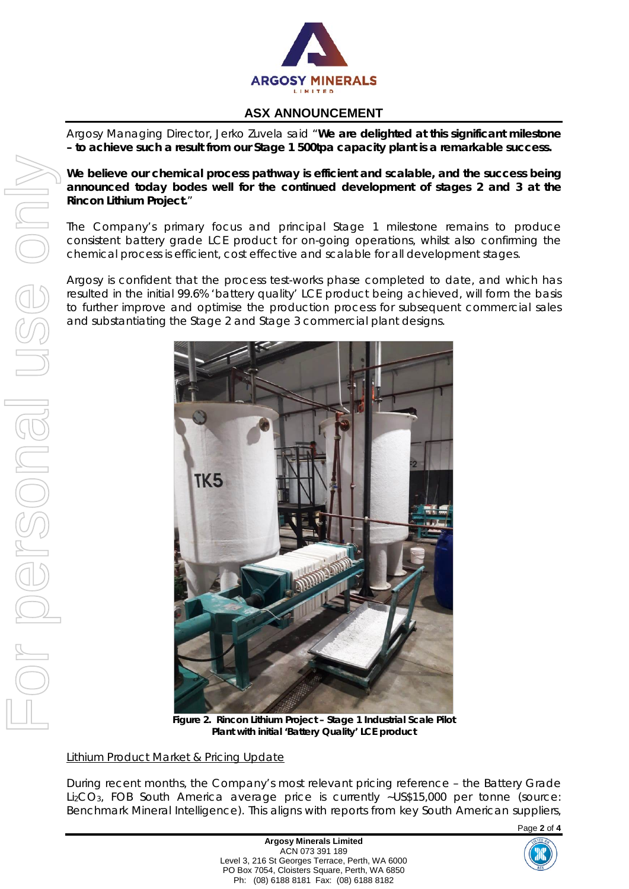

Argosy Managing Director, Jerko Zuvela said "*We are delighted at this significant milestone – to achieve such a result from our Stage 1 500tpa capacity plant is a remarkable success.*

*We believe our chemical process pathway is efficient and scalable, and the success being announced today bodes well for the continued development of stages 2 and 3 at the Rincon Lithium Project.*"

The Company's primary focus and principal Stage 1 milestone remains to produce consistent battery grade LCE product for on-going operations, whilst also confirming the chemical process is efficient, cost effective and scalable for all development stages.

Argosy is confident that the process test-works phase completed to date, and which has resulted in the initial 99.6% 'battery quality' LCE product being achieved, will form the basis to further improve and optimise the production process for subsequent commercial sales and substantiating the Stage 2 and Stage 3 commercial plant designs.



 **Figure 2. Rincon Lithium Project – Stage 1 Industrial Scale Pilot Plant with initial 'Battery Quality' LCE product**

#### *Lithium Product Market & Pricing Update*

During recent months, the Company's most relevant pricing reference – the Battery Grade Li2CO3, FOB South America average price is currently ~US\$15,000 per tonne (source: Benchmark Mineral Intelligence). This aligns with reports from key South American suppliers,

Page **2** of **4**

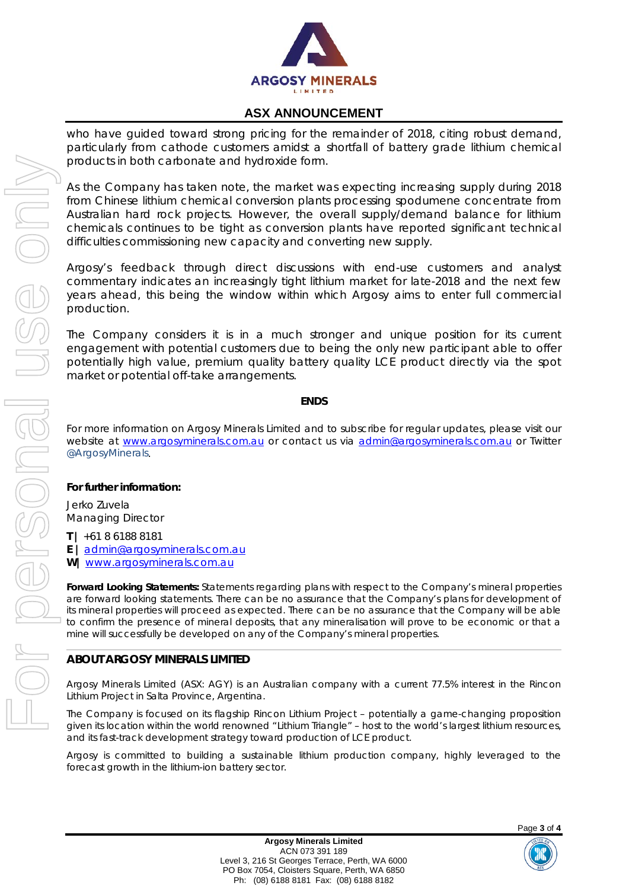

who have guided toward strong pricing for the remainder of 2018, citing robust demand, particularly from cathode customers amidst a shortfall of battery grade lithium chemical products in both carbonate and hydroxide form.

As the Company has taken note, the market was expecting increasing supply during 2018 from Chinese lithium chemical conversion plants processing spodumene concentrate from Australian hard rock projects. However, the overall supply/demand balance for lithium chemicals continues to be tight as conversion plants have reported significant technical difficulties commissioning new capacity and converting new supply.

Argosy's feedback through direct discussions with end-use customers and analyst commentary indicates an increasingly tight lithium market for late-2018 and the next few years ahead, this being the window within which Argosy aims to enter full commercial production.

The Company considers it is in a much stronger and unique position for its current engagement with potential customers due to being the only new participant able to offer potentially high value, premium quality battery quality LCE product directly via the spot market or potential off-take arrangements.

#### **ENDS**

For more information on Argosy Minerals Limited and to subscribe for regular updates, please visit our *website at [www.argosyminerals.com.au](http://www.argosyminerals.com.au/) or contact us via [admin@argosyminerals.com.au](mailto:admin@argosyminerals.com.au) or* Twitter *[@ArgosyMinerals](https://twitter.com/ArgosyMinerals)*.

#### **For further information:**

Jerko Zuvela Managing Director

**T |** +61 8 6188 8181

**E |** [admin@argosyminerals.com.au](mailto:admin@argosyminerals.com.au)

**W|** [www.argosyminerals.com.au](http://www.argosyminerals.com.au/)

**Forward Looking Statements:** Statements regarding plans with respect to the Company's mineral properties are forward looking statements. There can be no assurance that the Company's plans for development of its mineral properties will proceed as expected. There can be no assurance that the Company will be able to confirm the presence of mineral deposits, that any mineralisation will prove to be economic or that a mine will successfully be developed on any of the Company's mineral properties.

#### **ABOUT ARGOSY MINERALS LIMITED**

Argosy Minerals Limited (ASX: AGY) is an Australian company with a current 77.5% interest in the Rincon Lithium Project in Salta Province, Argentina.

The Company is focused on its flagship Rincon Lithium Project – potentially a game-changing proposition given its location within the world renowned "Lithium Triangle" – host to the world's largest lithium resources, and its fast-track development strategy toward production of LCE product.

Argosy is committed to building a sustainable lithium production company, highly leveraged to the forecast growth in the lithium-ion battery sector.